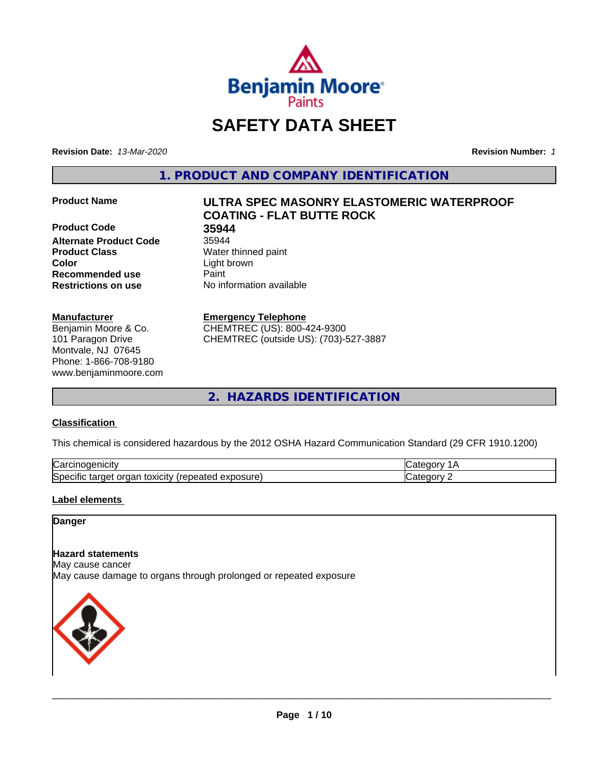

# **SAFETY DATA SHEET**

**Revision Date:** *13-Mar-2020* **Revision Number:** *1*

**1. PRODUCT AND COMPANY IDENTIFICATION**

**Product Code 35944 Alternate Product Code** 35944 **Product Class** Water thinned paint **Color** Light brown **Recommended use Caint Restrictions on use** No information available

#### **Manufacturer**

Benjamin Moore & Co. 101 Paragon Drive Montvale, NJ 07645 Phone: 1-866-708-9180 www.benjaminmoore.com

# **Product Name ULTRA SPEC MASONRY ELASTOMERIC WATERPROOF COATING - FLAT BUTTE ROCK**

#### **Emergency Telephone**

CHEMTREC (US): 800-424-9300 CHEMTREC (outside US): (703)-527-3887

**2. HAZARDS IDENTIFICATION**

### **Classification**

This chemical is considered hazardous by the 2012 OSHA Hazard Communication Standard (29 CFR 1910.1200)

| ∽<br>.<br>∴ar س<br>'HCIT                                                                        | -- - -- |
|-------------------------------------------------------------------------------------------------|---------|
| วosure<br>. .<br>- - -<br>orgar<br>toxicity<br>$\sim$<br>50e<br>arget a<br>эн<br>Galty.<br>50.U | ----    |

### **Label elements**

### **Danger**

#### **Hazard statements**

May cause cancer

May cause damage to organs through prolonged or repeated exposure

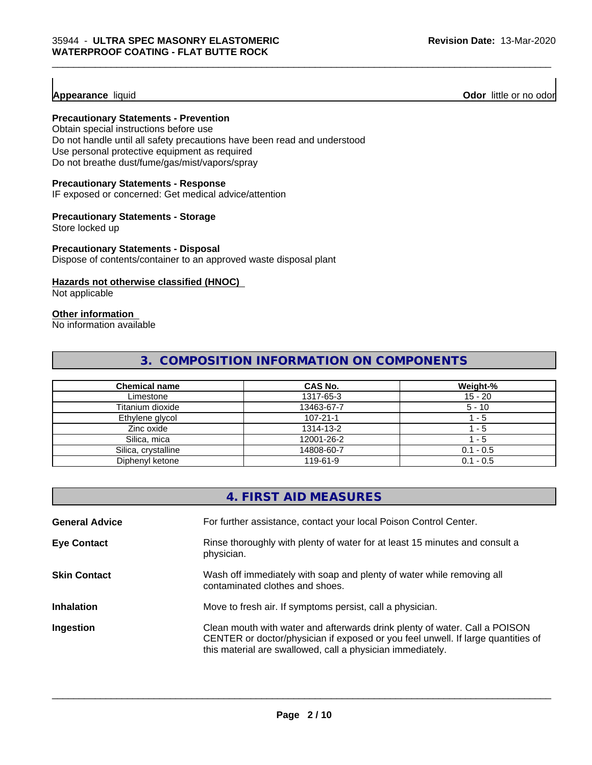**Appearance** liquid **Odor 11** Odor little or no odor

### **Precautionary Statements - Prevention**

Obtain special instructions before use Do not handle until all safety precautions have been read and understood Use personal protective equipment as required Do not breathe dust/fume/gas/mist/vapors/spray

#### **Precautionary Statements - Response**

IF exposed or concerned: Get medical advice/attention

#### **Precautionary Statements - Storage**

Store locked up

#### **Precautionary Statements - Disposal**

Dispose of contents/container to an approved waste disposal plant

#### **Hazards not otherwise classified (HNOC)**

Not applicable

# **Other information**

No information available

# **3. COMPOSITION INFORMATION ON COMPONENTS**

| <b>Chemical name</b> | <b>CAS No.</b> | Weight-%    |
|----------------------|----------------|-------------|
| Limestone            | 1317-65-3      | $15 - 20$   |
| Titanium dioxide     | 13463-67-7     | $5 - 10$    |
| Ethylene glycol      | $107 - 21 - 1$ | - 5         |
| Zinc oxide           | 1314-13-2      | - 5         |
| Silica, mica         | 12001-26-2     | - 5         |
| Silica, crystalline  | 14808-60-7     | $0.1 - 0.5$ |
| Diphenyl ketone      | 119-61-9       | $0.1 - 0.5$ |

|                       | 4. FIRST AID MEASURES                                                                                                                                                                                                        |
|-----------------------|------------------------------------------------------------------------------------------------------------------------------------------------------------------------------------------------------------------------------|
| <b>General Advice</b> | For further assistance, contact your local Poison Control Center.                                                                                                                                                            |
| <b>Eye Contact</b>    | Rinse thoroughly with plenty of water for at least 15 minutes and consult a<br>physician.                                                                                                                                    |
| <b>Skin Contact</b>   | Wash off immediately with soap and plenty of water while removing all<br>contaminated clothes and shoes.                                                                                                                     |
| <b>Inhalation</b>     | Move to fresh air. If symptoms persist, call a physician.                                                                                                                                                                    |
| Ingestion             | Clean mouth with water and afterwards drink plenty of water. Call a POISON<br>CENTER or doctor/physician if exposed or you feel unwell. If large quantities of<br>this material are swallowed, call a physician immediately. |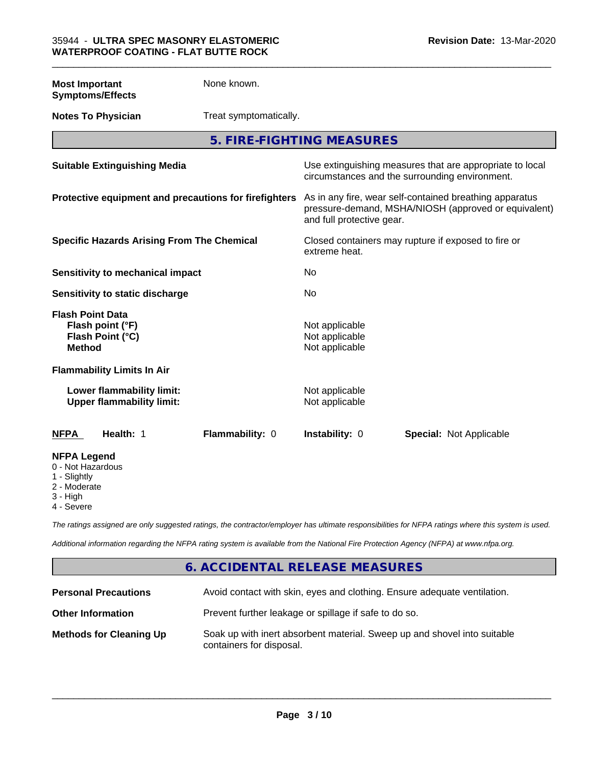**Most Important Symptoms/Effects** None known.

**Notes To Physician** Treat symptomatically.

**5. FIRE-FIGHTING MEASURES**

| <b>Suitable Extinguishing Media</b>                                              |                 |                                                    | Use extinguishing measures that are appropriate to local<br>circumstances and the surrounding environment.      |  |
|----------------------------------------------------------------------------------|-----------------|----------------------------------------------------|-----------------------------------------------------------------------------------------------------------------|--|
| Protective equipment and precautions for firefighters                            |                 | and full protective gear.                          | As in any fire, wear self-contained breathing apparatus<br>pressure-demand, MSHA/NIOSH (approved or equivalent) |  |
| <b>Specific Hazards Arising From The Chemical</b>                                |                 | extreme heat.                                      | Closed containers may rupture if exposed to fire or                                                             |  |
| Sensitivity to mechanical impact                                                 |                 | No                                                 |                                                                                                                 |  |
| Sensitivity to static discharge                                                  |                 | No                                                 |                                                                                                                 |  |
| <b>Flash Point Data</b><br>Flash point (°F)<br>Flash Point (°C)<br><b>Method</b> |                 | Not applicable<br>Not applicable<br>Not applicable |                                                                                                                 |  |
| <b>Flammability Limits In Air</b>                                                |                 |                                                    |                                                                                                                 |  |
| Lower flammability limit:<br><b>Upper flammability limit:</b>                    |                 | Not applicable<br>Not applicable                   |                                                                                                                 |  |
| Health: 1<br><b>NFPA</b>                                                         | Flammability: 0 | Instability: 0                                     | <b>Special: Not Applicable</b>                                                                                  |  |
| <b>NFPA Legend</b><br>0 - Not Hazardous<br>1 - Slightly<br>2 - Moderate          |                 |                                                    |                                                                                                                 |  |

3 - High

4 - Severe

*The ratings assigned are only suggested ratings, the contractor/employer has ultimate responsibilities for NFPA ratings where this system is used.*

*Additional information regarding the NFPA rating system is available from the National Fire Protection Agency (NFPA) at www.nfpa.org.*

# **6. ACCIDENTAL RELEASE MEASURES**

| <b>Personal Precautions</b>    | Avoid contact with skin, eyes and clothing. Ensure adequate ventilation.                             |
|--------------------------------|------------------------------------------------------------------------------------------------------|
| <b>Other Information</b>       | Prevent further leakage or spillage if safe to do so.                                                |
| <b>Methods for Cleaning Up</b> | Soak up with inert absorbent material. Sweep up and shovel into suitable<br>containers for disposal. |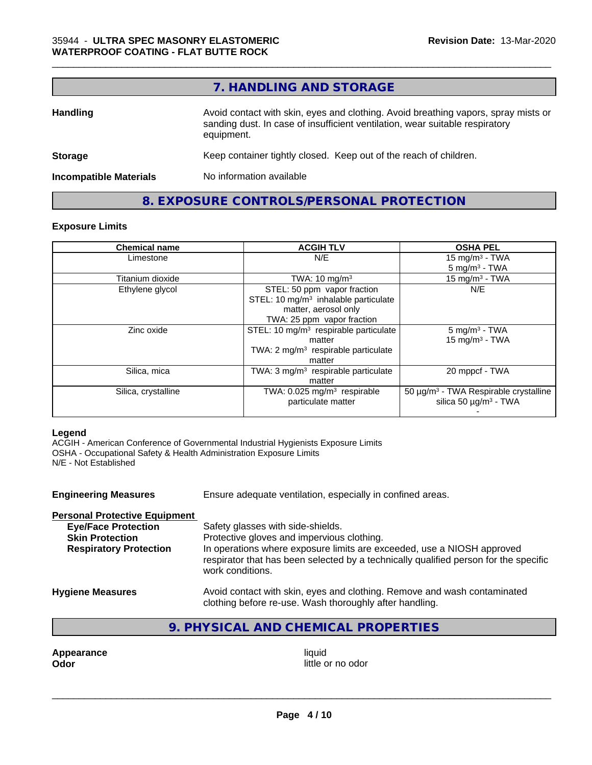# **7. HANDLING AND STORAGE**

\_\_\_\_\_\_\_\_\_\_\_\_\_\_\_\_\_\_\_\_\_\_\_\_\_\_\_\_\_\_\_\_\_\_\_\_\_\_\_\_\_\_\_\_\_\_\_\_\_\_\_\_\_\_\_\_\_\_\_\_\_\_\_\_\_\_\_\_\_\_\_\_\_\_\_\_\_\_\_\_\_\_\_\_\_\_\_\_\_\_\_\_\_

| <b>Handling</b>               | Avoid contact with skin, eyes and clothing. Avoid breathing vapors, spray mists or<br>sanding dust. In case of insufficient ventilation, wear suitable respiratory<br>equipment. |
|-------------------------------|----------------------------------------------------------------------------------------------------------------------------------------------------------------------------------|
| <b>Storage</b>                | Keep container tightly closed. Keep out of the reach of children.                                                                                                                |
| <b>Incompatible Materials</b> | No information available                                                                                                                                                         |
|                               |                                                                                                                                                                                  |

# **8. EXPOSURE CONTROLS/PERSONAL PROTECTION**

### **Exposure Limits**

| <b>Chemical name</b> | <b>ACGIH TLV</b>                                  | <b>OSHA PEL</b>                                   |
|----------------------|---------------------------------------------------|---------------------------------------------------|
| Limestone            | N/E                                               | 15 mg/m $3$ - TWA                                 |
|                      |                                                   | $5 \text{ mg/m}^3$ - TWA                          |
| Titanium dioxide     | TWA: $10 \text{ mg/m}^3$                          | 15 mg/m <sup>3</sup> - TWA                        |
| Ethylene glycol      | STEL: 50 ppm vapor fraction                       | N/E                                               |
|                      | STEL: 10 $mg/m3$ inhalable particulate            |                                                   |
|                      | matter, aerosol only                              |                                                   |
|                      | TWA: 25 ppm vapor fraction                        |                                                   |
| Zinc oxide           | STEL: 10 mg/m <sup>3</sup> respirable particulate | $5 \text{ mg/m}^3$ - TWA                          |
|                      | matter                                            | $15$ mg/m <sup>3</sup> - TWA                      |
|                      | TWA: $2 \text{ mg/m}^3$ respirable particulate    |                                                   |
|                      | matter                                            |                                                   |
| Silica, mica         | TWA: 3 mg/m <sup>3</sup> respirable particulate   | 20 mppcf - TWA                                    |
|                      | matter                                            |                                                   |
| Silica, crystalline  | TWA: 0.025 mg/m <sup>3</sup> respirable           | 50 μg/m <sup>3</sup> - TWA Respirable crystalline |
|                      | particulate matter                                | silica 50 $\mu$ g/m <sup>3</sup> - TWA            |
|                      |                                                   |                                                   |

#### **Legend**

ACGIH - American Conference of Governmental Industrial Hygienists Exposure Limits OSHA - Occupational Safety & Health Administration Exposure Limits N/E - Not Established

| <b>Engineering Measures</b>                                                                                                   | Ensure adequate ventilation, especially in confined areas.                                                                                                                                                                                                            |
|-------------------------------------------------------------------------------------------------------------------------------|-----------------------------------------------------------------------------------------------------------------------------------------------------------------------------------------------------------------------------------------------------------------------|
| <b>Personal Protective Equipment</b><br><b>Eye/Face Protection</b><br><b>Skin Protection</b><br><b>Respiratory Protection</b> | Safety glasses with side-shields.<br>Protective gloves and impervious clothing.<br>In operations where exposure limits are exceeded, use a NIOSH approved<br>respirator that has been selected by a technically qualified person for the specific<br>work conditions. |
| <b>Hygiene Measures</b>                                                                                                       | Avoid contact with skin, eyes and clothing. Remove and wash contaminated<br>clothing before re-use. Wash thoroughly after handling.                                                                                                                                   |

# **9. PHYSICAL AND CHEMICAL PROPERTIES**

**Appearance** liquid and **Appearance** liquid liquid liquid liquid liquid liquid liquid liquid little of  $\blacksquare$ 

little or no odor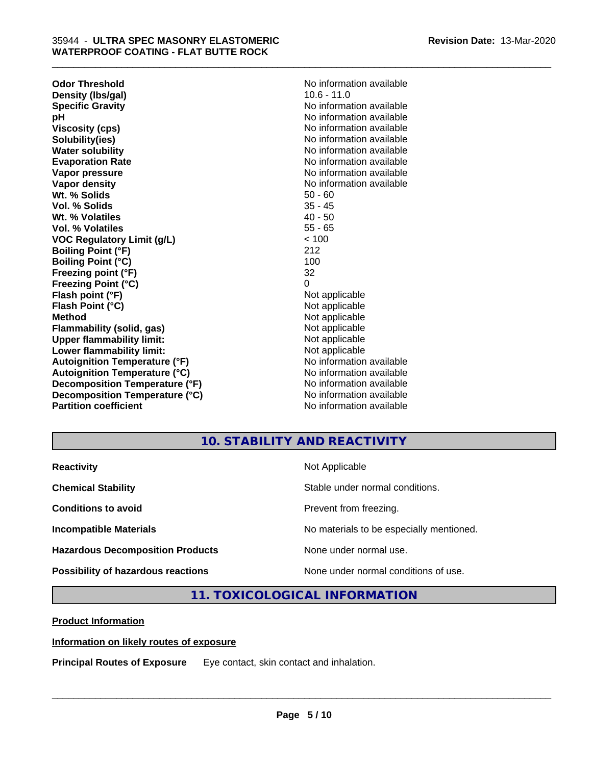**Odor Threshold**<br> **Density (Ibs/gal)**<br> **Density (Ibs/gal)**<br> **No information available**<br>  $10.6 - 11.0$ **Density (lbs/gal) Specific Gravity No information available pH** No information available **Viscosity (cps)** No information available in the Viscosity (cps) **Solubility(ies)** No information available **Water solubility** No information available **Evaporation Rate No information available No information available Vapor pressure** No information available **No information** available **Vapor density No information available No information available Wt. % Solids** 50 - 60 **Vol. % Solids** 35 - 45 **Wt. % Volatiles** 40 - 50<br> **Vol. % Volatiles** 55 - 65 **Vol. % Volatiles VOC Regulatory Limit (g/L)** < 100 **Boiling Point (°F)** 212 **Boiling Point (°C) Freezing point (°F)** 32 **Freezing Point (°C)** 0 **Flash point (°F)** Not applicable **Flash Point (°C)** Not applicable **Method** Not applicable **Flammability (solid, gas)** Not applicable **Upper flammability limit:**<br> **Lower flammability limit:**<br>
Not applicable<br>
Not applicable **Lower flammability limit:**<br> **Autoignition Temperature (°F)**<br>
Mo information available **Autoignition Temperature (°F) Autoignition Temperature (°C)** No information available **Decomposition Temperature (°F)** No information available **Decomposition Temperature (°C)** No information available **Partition coefficient** and the settlement of the settlement of the No information available

\_\_\_\_\_\_\_\_\_\_\_\_\_\_\_\_\_\_\_\_\_\_\_\_\_\_\_\_\_\_\_\_\_\_\_\_\_\_\_\_\_\_\_\_\_\_\_\_\_\_\_\_\_\_\_\_\_\_\_\_\_\_\_\_\_\_\_\_\_\_\_\_\_\_\_\_\_\_\_\_\_\_\_\_\_\_\_\_\_\_\_\_\_

# **10. STABILITY AND REACTIVITY**

| <b>Reactivity</b>                         | Not Applicable                           |
|-------------------------------------------|------------------------------------------|
| <b>Chemical Stability</b>                 | Stable under normal conditions.          |
| <b>Conditions to avoid</b>                | Prevent from freezing.                   |
| <b>Incompatible Materials</b>             | No materials to be especially mentioned. |
| <b>Hazardous Decomposition Products</b>   | None under normal use.                   |
| <b>Possibility of hazardous reactions</b> | None under normal conditions of use.     |

# **11. TOXICOLOGICAL INFORMATION**

**Product Information**

### **Information on likely routes of exposure**

**Principal Routes of Exposure** Eye contact, skin contact and inhalation.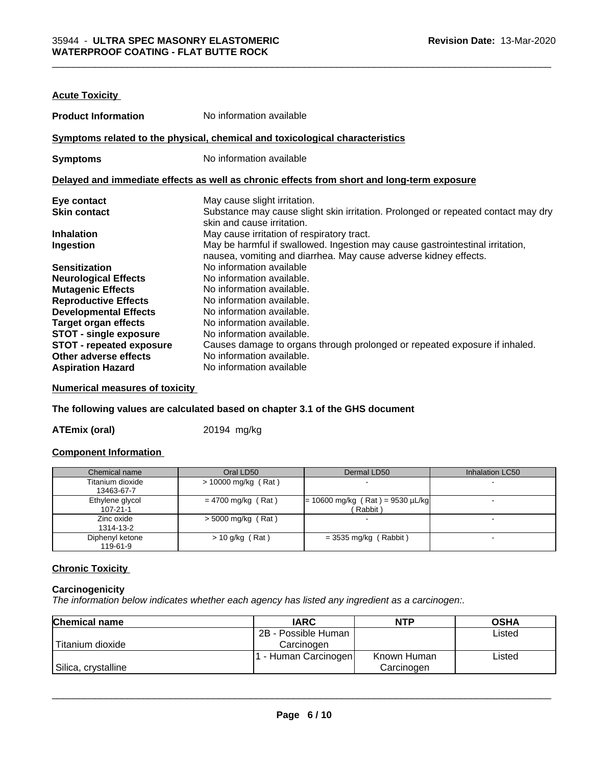| <b>Acute Toxicity</b>           |                                                                                                                                                   |
|---------------------------------|---------------------------------------------------------------------------------------------------------------------------------------------------|
| <b>Product Information</b>      | No information available                                                                                                                          |
|                                 | Symptoms related to the physical, chemical and toxicological characteristics                                                                      |
| <b>Symptoms</b>                 | No information available                                                                                                                          |
|                                 | Delayed and immediate effects as well as chronic effects from short and long-term exposure                                                        |
| Eye contact                     | May cause slight irritation.                                                                                                                      |
| <b>Skin contact</b>             | Substance may cause slight skin irritation. Prolonged or repeated contact may dry<br>skin and cause irritation.                                   |
| <b>Inhalation</b>               | May cause irritation of respiratory tract.                                                                                                        |
| Ingestion                       | May be harmful if swallowed. Ingestion may cause gastrointestinal irritation,<br>nausea, vomiting and diarrhea. May cause adverse kidney effects. |
| <b>Sensitization</b>            | No information available                                                                                                                          |
| <b>Neurological Effects</b>     | No information available.                                                                                                                         |
| <b>Mutagenic Effects</b>        | No information available.                                                                                                                         |
| <b>Reproductive Effects</b>     | No information available.                                                                                                                         |
| <b>Developmental Effects</b>    | No information available.                                                                                                                         |
| <b>Target organ effects</b>     | No information available.                                                                                                                         |
| <b>STOT - single exposure</b>   | No information available.                                                                                                                         |
| <b>STOT - repeated exposure</b> | Causes damage to organs through prolonged or repeated exposure if inhaled.                                                                        |
| Other adverse effects           | No information available.                                                                                                                         |
| <b>Aspiration Hazard</b>        | No information available                                                                                                                          |

# **Numerical measures of toxicity**

#### **The following values are calculated based on chapter 3.1 of the GHS document**

**ATEmix (oral)** 20194 mg/kg

#### **Component Information**

| Chemical name    | Oral LD50            | Dermal LD50                        | Inhalation LC50 |
|------------------|----------------------|------------------------------------|-----------------|
| Titanium dioxide | > 10000 mg/kg (Rat)  |                                    |                 |
| 13463-67-7       |                      |                                    |                 |
| Ethylene glycol  | $= 4700$ mg/kg (Rat) | $= 10600$ mg/kg (Rat) = 9530 µL/kg |                 |
| $107 - 21 - 1$   |                      | Rabbit)                            |                 |
| Zinc oxide       | $>$ 5000 mg/kg (Rat) |                                    |                 |
| 1314-13-2        |                      |                                    |                 |
| Diphenyl ketone  | $> 10$ g/kg (Rat)    | $=$ 3535 mg/kg (Rabbit)            |                 |
| 119-61-9         |                      |                                    |                 |

#### **Chronic Toxicity**

#### **Carcinogenicity**

*The information below indicateswhether each agency has listed any ingredient as a carcinogen:.*

| <b>Chemical name</b> | <b>IARC</b>         | <b>NTP</b>  | <b>OSHA</b> |
|----------------------|---------------------|-------------|-------------|
|                      | 2B - Possible Human |             | Listed      |
| Titanium dioxide     | Carcinogen          |             |             |
|                      | - Human Carcinogen  | Known Human | Listed      |
| Silica, crystalline  |                     | Carcinogen  |             |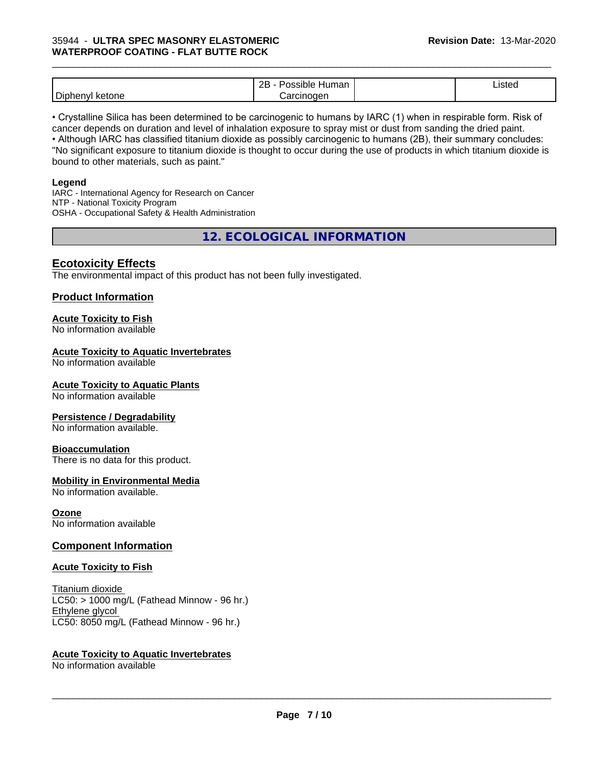|                                       | ם מ<br>Human<br>∠∟<br>. | Listed |
|---------------------------------------|-------------------------|--------|
| Dipheny<br>.<br>one<br>، ت<br>w<br>n. | 'arainaann              |        |

\_\_\_\_\_\_\_\_\_\_\_\_\_\_\_\_\_\_\_\_\_\_\_\_\_\_\_\_\_\_\_\_\_\_\_\_\_\_\_\_\_\_\_\_\_\_\_\_\_\_\_\_\_\_\_\_\_\_\_\_\_\_\_\_\_\_\_\_\_\_\_\_\_\_\_\_\_\_\_\_\_\_\_\_\_\_\_\_\_\_\_\_\_

• Crystalline Silica has been determined to be carcinogenic to humans by IARC (1) when in respirable form. Risk of cancer depends on duration and level of inhalation exposure to spray mist or dust from sanding the dried paint.• Although IARC has classified titanium dioxide as possibly carcinogenic to humans (2B), their summary concludes: "No significant exposure to titanium dioxide is thought to occur during the use of products in which titanium dioxide is bound to other materials, such as paint."

#### **Legend**

IARC - International Agency for Research on Cancer NTP - National Toxicity Program OSHA - Occupational Safety & Health Administration

**12. ECOLOGICAL INFORMATION**

### **Ecotoxicity Effects**

The environmental impact of this product has not been fully investigated.

### **Product Information**

## **Acute Toxicity to Fish**

No information available

#### **Acute Toxicity to Aquatic Invertebrates**

No information available

#### **Acute Toxicity to Aquatic Plants**

No information available

#### **Persistence / Degradability**

No information available.

#### **Bioaccumulation**

There is no data for this product.

#### **Mobility in Environmental Media**

No information available.

#### **Ozone**

No information available

#### **Component Information**

#### **Acute Toxicity to Fish**

Titanium dioxide  $LC50:$  > 1000 mg/L (Fathead Minnow - 96 hr.) Ethylene glycol LC50: 8050 mg/L (Fathead Minnow - 96 hr.)

#### **Acute Toxicity to Aquatic Invertebrates**

No information available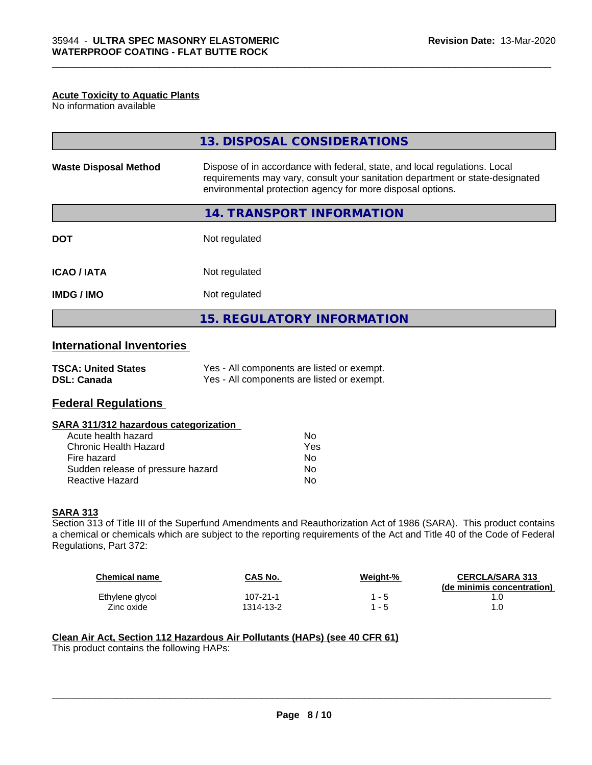#### **Acute Toxicity to Aquatic Plants**

No information available

|                              | 13. DISPOSAL CONSIDERATIONS                                                                                                                                                                                               |  |
|------------------------------|---------------------------------------------------------------------------------------------------------------------------------------------------------------------------------------------------------------------------|--|
| <b>Waste Disposal Method</b> | Dispose of in accordance with federal, state, and local regulations. Local<br>requirements may vary, consult your sanitation department or state-designated<br>environmental protection agency for more disposal options. |  |
|                              | 14. TRANSPORT INFORMATION                                                                                                                                                                                                 |  |
| <b>DOT</b>                   | Not regulated                                                                                                                                                                                                             |  |
| <b>ICAO/IATA</b>             | Not regulated                                                                                                                                                                                                             |  |
| <b>IMDG/IMO</b>              | Not regulated                                                                                                                                                                                                             |  |
|                              | <b>15. REGULATORY INFORMATION</b>                                                                                                                                                                                         |  |

\_\_\_\_\_\_\_\_\_\_\_\_\_\_\_\_\_\_\_\_\_\_\_\_\_\_\_\_\_\_\_\_\_\_\_\_\_\_\_\_\_\_\_\_\_\_\_\_\_\_\_\_\_\_\_\_\_\_\_\_\_\_\_\_\_\_\_\_\_\_\_\_\_\_\_\_\_\_\_\_\_\_\_\_\_\_\_\_\_\_\_\_\_

## **International Inventories**

| <b>TSCA: United States</b> | Yes - All components are listed or exempt. |
|----------------------------|--------------------------------------------|
| <b>DSL: Canada</b>         | Yes - All components are listed or exempt. |

### **Federal Regulations**

#### **SARA 311/312 hazardous categorization**

| Acute health hazard               | Nο  |
|-----------------------------------|-----|
| Chronic Health Hazard             | Yes |
| Fire hazard                       | Nο  |
| Sudden release of pressure hazard | Nο  |
| Reactive Hazard                   | N٥  |

#### **SARA 313**

Section 313 of Title III of the Superfund Amendments and Reauthorization Act of 1986 (SARA). This product contains a chemical or chemicals which are subject to the reporting requirements of the Act and Title 40 of the Code of Federal Regulations, Part 372:

| <b>Chemical name</b> | CAS No.        | Weight-% | <b>CERCLA/SARA 313</b><br>(de minimis concentration) |
|----------------------|----------------|----------|------------------------------------------------------|
| Ethylene glycol      | $107 - 21 - 1$ | 1 - 5    |                                                      |
| Zinc oxide           | 1314-13-2      | - 5      |                                                      |

 $\overline{\phantom{a}}$  ,  $\overline{\phantom{a}}$  ,  $\overline{\phantom{a}}$  ,  $\overline{\phantom{a}}$  ,  $\overline{\phantom{a}}$  ,  $\overline{\phantom{a}}$  ,  $\overline{\phantom{a}}$  ,  $\overline{\phantom{a}}$  ,  $\overline{\phantom{a}}$  ,  $\overline{\phantom{a}}$  ,  $\overline{\phantom{a}}$  ,  $\overline{\phantom{a}}$  ,  $\overline{\phantom{a}}$  ,  $\overline{\phantom{a}}$  ,  $\overline{\phantom{a}}$  ,  $\overline{\phantom{a}}$ 

#### **Clean Air Act,Section 112 Hazardous Air Pollutants (HAPs) (see 40 CFR 61)**

This product contains the following HAPs: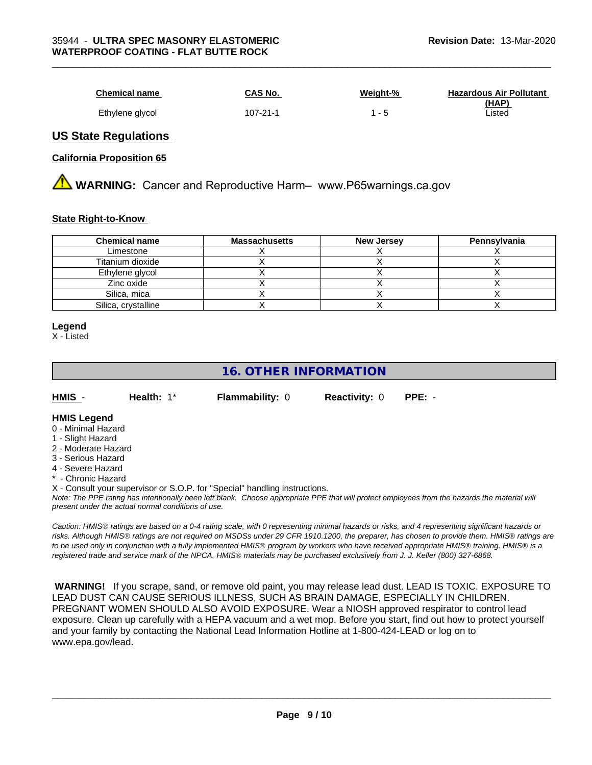| <b>Chemical name</b> | CAS No.        | Weight-% | <b>Hazardous Air Pollutant</b><br>(HAP) |
|----------------------|----------------|----------|-----------------------------------------|
| Ethylene glycol      | $107 - 21 - 1$ | $1 - 5$  | _isted                                  |

\_\_\_\_\_\_\_\_\_\_\_\_\_\_\_\_\_\_\_\_\_\_\_\_\_\_\_\_\_\_\_\_\_\_\_\_\_\_\_\_\_\_\_\_\_\_\_\_\_\_\_\_\_\_\_\_\_\_\_\_\_\_\_\_\_\_\_\_\_\_\_\_\_\_\_\_\_\_\_\_\_\_\_\_\_\_\_\_\_\_\_\_\_

#### **US State Regulations**

#### **California Proposition 65**

**WARNING:** Cancer and Reproductive Harm– www.P65warnings.ca.gov

#### **State Right-to-Know**

| <b>Chemical name</b> | <b>Massachusetts</b> | <b>New Jersey</b> | Pennsylvania |
|----------------------|----------------------|-------------------|--------------|
| Limestone            |                      |                   |              |
| Titanium dioxide     |                      |                   |              |
| Ethylene glycol      |                      |                   |              |
| Zinc oxide           |                      |                   |              |
| Silica, mica         |                      |                   |              |
| Silica, crystalline  |                      |                   |              |

#### **Legend**

X - Listed

# **16. OTHER INFORMATION**

| HMIS | Health: 1* | <b>Flammability: 0</b> | <b>Reactivity: 0</b> | PPE: - |
|------|------------|------------------------|----------------------|--------|
|      |            |                        |                      |        |

#### **HMIS Legend**

- 0 Minimal Hazard
- 1 Slight Hazard
- 2 Moderate Hazard
- 3 Serious Hazard
- 4 Severe Hazard
- **Chronic Hazard**
- X Consult your supervisor or S.O.P. for "Special" handling instructions.

*Note: The PPE rating has intentionally been left blank. Choose appropriate PPE that will protect employees from the hazards the material will present under the actual normal conditions of use.*

*Caution: HMISÒ ratings are based on a 0-4 rating scale, with 0 representing minimal hazards or risks, and 4 representing significant hazards or risks. Although HMISÒ ratings are not required on MSDSs under 29 CFR 1910.1200, the preparer, has chosen to provide them. HMISÒ ratings are to be used only in conjunction with a fully implemented HMISÒ program by workers who have received appropriate HMISÒ training. HMISÒ is a registered trade and service mark of the NPCA. HMISÒ materials may be purchased exclusively from J. J. Keller (800) 327-6868.*

 **WARNING!** If you scrape, sand, or remove old paint, you may release lead dust. LEAD IS TOXIC. EXPOSURE TO LEAD DUST CAN CAUSE SERIOUS ILLNESS, SUCH AS BRAIN DAMAGE, ESPECIALLY IN CHILDREN. PREGNANT WOMEN SHOULD ALSO AVOID EXPOSURE.Wear a NIOSH approved respirator to control lead exposure. Clean up carefully with a HEPA vacuum and a wet mop. Before you start, find out how to protect yourself and your family by contacting the National Lead Information Hotline at 1-800-424-LEAD or log on to www.epa.gov/lead.